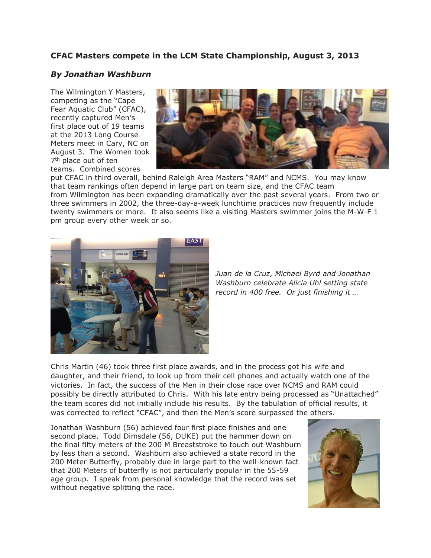## **CFAC Masters compete in the LCM State Championship, August 3, 2013**

## *By Jonathan Washburn*

The Wilmington Y Masters, competing as the "Cape Fear Aquatic Club" (CFAC), recently captured Men's first place out of 19 teams at the 2013 Long Course Meters meet in Cary, NC on August 3. The Women took 7<sup>th</sup> place out of ten teams. Combined scores



put CFAC in third overall, behind Raleigh Area Masters "RAM" and NCMS. You may know that team rankings often depend in large part on team size, and the CFAC team from Wilmington has been expanding dramatically over the past several years. From two or three swimmers in 2002, the three-day-a-week lunchtime practices now frequently include twenty swimmers or more. It also seems like a visiting Masters swimmer joins the M-W-F 1 pm group every other week or so.



*Juan de la Cruz, Michael Byrd and Jonathan Washburn celebrate Alicia Uhl setting state record in 400 free. Or just finishing it …*

Chris Martin (46) took three first place awards, and in the process got his wife and daughter, and their friend, to look up from their cell phones and actually watch one of the victories. In fact, the success of the Men in their close race over NCMS and RAM could possibly be directly attributed to Chris. With his late entry being processed as "Unattached" the team scores did not initially include his results. By the tabulation of official results, it was corrected to reflect "CFAC", and then the Men's score surpassed the others.

Jonathan Washburn (56) achieved four first place finishes and one second place. Todd Dimsdale (56, DUKE) put the hammer down on the final fifty meters of the 200 M Breaststroke to touch out Washburn by less than a second. Washburn also achieved a state record in the 200 Meter Butterfly, probably due in large part to the well-known fact that 200 Meters of butterfly is not particularly popular in the 55-59 age group. I speak from personal knowledge that the record was set without negative splitting the race.